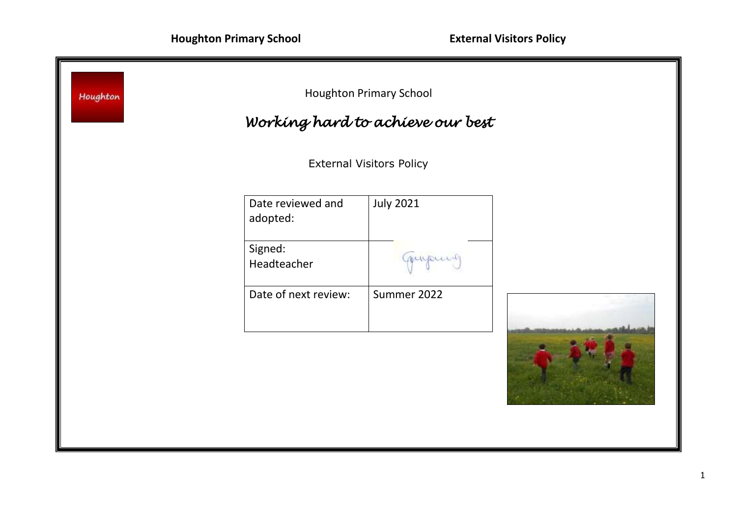| Houghton                        |                               | <b>Houghton Primary School</b><br>Working hard to achieve our best |  |  |
|---------------------------------|-------------------------------|--------------------------------------------------------------------|--|--|
| <b>External Visitors Policy</b> |                               |                                                                    |  |  |
|                                 | Date reviewed and<br>adopted: | <b>July 2021</b>                                                   |  |  |
|                                 | Signed:<br>Headteacher        | myour                                                              |  |  |
|                                 | Date of next review:          | Summer 2022                                                        |  |  |
|                                 |                               |                                                                    |  |  |
|                                 |                               |                                                                    |  |  |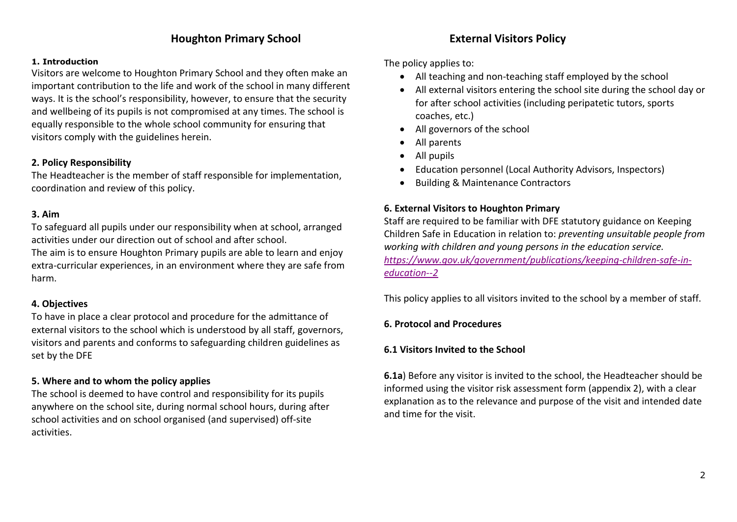# **Houghton Primary School External Visitors Policy**

#### **1. Introduction**

Visitors are welcome to Houghton Primary School and they often make an important contribution to the life and work of the school in many different ways. It is the school's responsibility, however, to ensure that the security and wellbeing of its pupils is not compromised at any times. The school is equally responsible to the whole school community for ensuring that visitors comply with the guidelines herein.

### **2. Policy Responsibility**

The Headteacher is the member of staff responsible for implementation, coordination and review of this policy.

## **3. Aim**

To safeguard all pupils under our responsibility when at school, arranged activities under our direction out of school and after school.

The aim is to ensure Houghton Primary pupils are able to learn and enjoy extra-curricular experiences, in an environment where they are safe from harm.

## **4. Objectives**

To have in place a clear protocol and procedure for the admittance of external visitors to the school which is understood by all staff, governors, visitors and parents and conforms to safeguarding children guidelines as set by the DFE

## **5. Where and to whom the policy applies**

The school is deemed to have control and responsibility for its pupils anywhere on the school site, during normal school hours, during after school activities and on school organised (and supervised) off-site activities.

The policy applies to:

- All teaching and non-teaching staff employed by the school
- All external visitors entering the school site during the school day or for after school activities (including peripatetic tutors, sports coaches, etc.)
- All governors of the school
- All parents
- All pupils
- Education personnel (Local Authority Advisors, Inspectors)
- Building & Maintenance Contractors

### **6. External Visitors to Houghton Primary**

Staff are required to be familiar with DFE statutory guidance on Keeping Children Safe in Education in relation to: *preventing unsuitable people from working with children and young persons in the education service. [https://www.gov.uk/government/publications/keeping-children-safe-in](https://www.gov.uk/government/publications/keeping-children-safe-in-education--2)[education--2](https://www.gov.uk/government/publications/keeping-children-safe-in-education--2)*

This policy applies to all visitors invited to the school by a member of staff.

### **6. Protocol and Procedures**

### **6.1 Visitors Invited to the School**

**6.1a**) Before any visitor is invited to the school, the Headteacher should be informed using the visitor risk assessment form (appendix 2), with a clear explanation as to the relevance and purpose of the visit and intended date and time for the visit.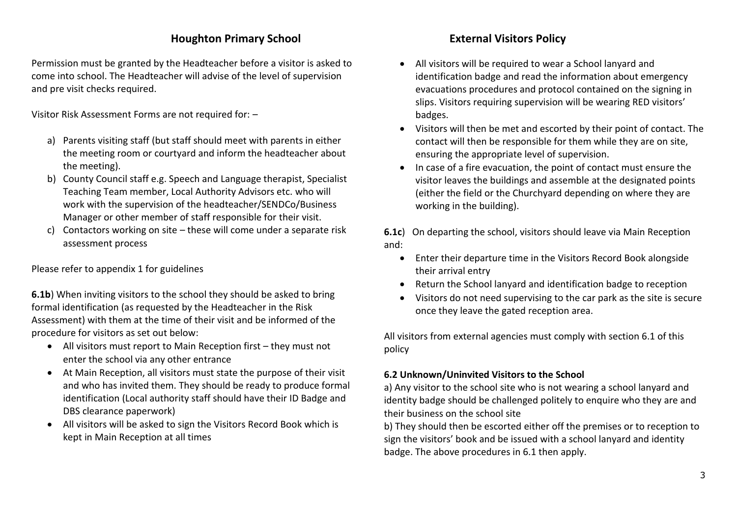# **Houghton Primary School External Visitors Policy**

Permission must be granted by the Headteacher before a visitor is asked to come into school. The Headteacher will advise of the level of supervision and pre visit checks required.

Visitor Risk Assessment Forms are not required for: –

- a) Parents visiting staff (but staff should meet with parents in either the meeting room or courtyard and inform the headteacher about the meeting).
- b) County Council staff e.g. Speech and Language therapist, Specialist Teaching Team member, Local Authority Advisors etc. who will work with the supervision of the headteacher/SENDCo/Business Manager or other member of staff responsible for their visit.
- c) Contactors working on site these will come under a separate risk assessment process

Please refer to appendix 1 for guidelines

**6.1b**) When inviting visitors to the school they should be asked to bring formal identification (as requested by the Headteacher in the Risk Assessment) with them at the time of their visit and be informed of the procedure for visitors as set out below:

- All visitors must report to Main Reception first they must not enter the school via any other entrance
- At Main Reception, all visitors must state the purpose of their visit and who has invited them. They should be ready to produce formal identification (Local authority staff should have their ID Badge and DBS clearance paperwork)
- All visitors will be asked to sign the Visitors Record Book which is kept in Main Reception at all times

- All visitors will be required to wear a School lanyard and identification badge and read the information about emergency evacuations procedures and protocol contained on the signing in slips. Visitors requiring supervision will be wearing RED visitors' badges.
- Visitors will then be met and escorted by their point of contact. The contact will then be responsible for them while they are on site, ensuring the appropriate level of supervision.
- In case of a fire evacuation, the point of contact must ensure the visitor leaves the buildings and assemble at the designated points (either the field or the Churchyard depending on where they are working in the building).

**6.1c**) On departing the school, visitors should leave via Main Reception and:

- Enter their departure time in the Visitors Record Book alongside their arrival entry
- Return the School lanyard and identification badge to reception
- Visitors do not need supervising to the car park as the site is secure once they leave the gated reception area.

All visitors from external agencies must comply with section 6.1 of this policy

## **6.2 Unknown/Uninvited Visitors to the School**

a) Any visitor to the school site who is not wearing a school lanyard and identity badge should be challenged politely to enquire who they are and their business on the school site

b) They should then be escorted either off the premises or to reception to sign the visitors' book and be issued with a school lanyard and identity badge. The above procedures in 6.1 then apply.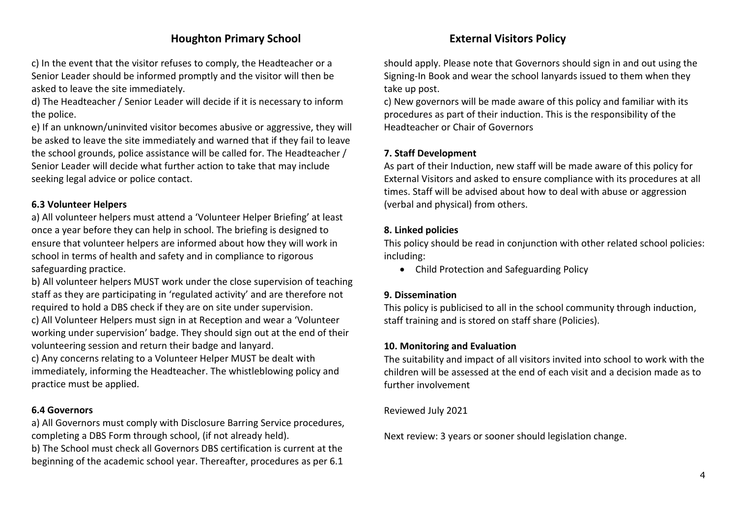c) In the event that the visitor refuses to comply, the Headteacher or a Senior Leader should be informed promptly and the visitor will then be asked to leave the site immediately.

d) The Headteacher / Senior Leader will decide if it is necessary to inform the police.

e) If an unknown/uninvited visitor becomes abusive or aggressive, they will be asked to leave the site immediately and warned that if they fail to leave the school grounds, police assistance will be called for. The Headteacher / Senior Leader will decide what further action to take that may include seeking legal advice or police contact.

# **6.3 Volunteer Helpers**

a) All volunteer helpers must attend a 'Volunteer Helper Briefing' at least once a year before they can help in school. The briefing is designed to ensure that volunteer helpers are informed about how they will work in school in terms of health and safety and in compliance to rigorous safeguarding practice.

b) All volunteer helpers MUST work under the close supervision of teaching staff as they are participating in 'regulated activity' and are therefore not required to hold a DBS check if they are on site under supervision. c) All Volunteer Helpers must sign in at Reception and wear a 'Volunteer working under supervision' badge. They should sign out at the end of their volunteering session and return their badge and lanyard.

c) Any concerns relating to a Volunteer Helper MUST be dealt with immediately, informing the Headteacher. The whistleblowing policy and practice must be applied.

# **6.4 Governors**

a) All Governors must comply with Disclosure Barring Service procedures, completing a DBS Form through school, (if not already held).

b) The School must check all Governors DBS certification is current at the beginning of the academic school year. Thereafter, procedures as per 6.1

should apply. Please note that Governors should sign in and out using the Signing-In Book and wear the school lanyards issued to them when they take up post.

c) New governors will be made aware of this policy and familiar with its procedures as part of their induction. This is the responsibility of the Headteacher or Chair of Governors

# **7. Staff Development**

As part of their Induction, new staff will be made aware of this policy for External Visitors and asked to ensure compliance with its procedures at all times. Staff will be advised about how to deal with abuse or aggression (verbal and physical) from others.

# **8. Linked policies**

This policy should be read in conjunction with other related school policies: including:

Child Protection and Safeguarding Policy

# **9. Dissemination**

This policy is publicised to all in the school community through induction, staff training and is stored on staff share (Policies).

# **10. Monitoring and Evaluation**

The suitability and impact of all visitors invited into school to work with the children will be assessed at the end of each visit and a decision made as to further involvement

Reviewed July 2021

Next review: 3 years or sooner should legislation change.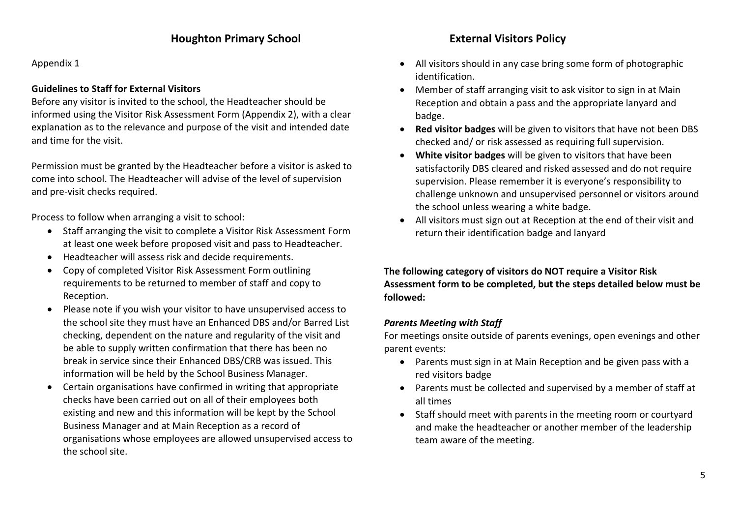Appendix 1

# **Guidelines to Staff for External Visitors**

Before any visitor is invited to the school, the Headteacher should be informed using the Visitor Risk Assessment Form (Appendix 2), with a clear explanation as to the relevance and purpose of the visit and intended date and time for the visit.

Permission must be granted by the Headteacher before a visitor is asked to come into school. The Headteacher will advise of the level of supervision and pre-visit checks required.

Process to follow when arranging a visit to school:

- Staff arranging the visit to complete a Visitor Risk Assessment Form at least one week before proposed visit and pass to Headteacher.
- Headteacher will assess risk and decide requirements.
- Copy of completed Visitor Risk Assessment Form outlining requirements to be returned to member of staff and copy to Reception.
- Please note if you wish your visitor to have unsupervised access to the school site they must have an Enhanced DBS and/or Barred List checking, dependent on the nature and regularity of the visit and be able to supply written confirmation that there has been no break in service since their Enhanced DBS/CRB was issued. This information will be held by the School Business Manager.
- Certain organisations have confirmed in writing that appropriate checks have been carried out on all of their employees both existing and new and this information will be kept by the School Business Manager and at Main Reception as a record of organisations whose employees are allowed unsupervised access to the school site.

- All visitors should in any case bring some form of photographic identification.
- Member of staff arranging visit to ask visitor to sign in at Main Reception and obtain a pass and the appropriate lanyard and badge.
- **Red visitor badges** will be given to visitors that have not been DBS checked and/ or risk assessed as requiring full supervision.
- **White visitor badges** will be given to visitors that have been satisfactorily DBS cleared and risked assessed and do not require supervision. Please remember it is everyone's responsibility to challenge unknown and unsupervised personnel or visitors around the school unless wearing a white badge.
- All visitors must sign out at Reception at the end of their visit and return their identification badge and lanyard

**The following category of visitors do NOT require a Visitor Risk Assessment form to be completed, but the steps detailed below must be followed:**

# *Parents Meeting with Staff*

For meetings onsite outside of parents evenings, open evenings and other parent events:

- Parents must sign in at Main Reception and be given pass with a red visitors badge
- Parents must be collected and supervised by a member of staff at all times
- Staff should meet with parents in the meeting room or courtyard and make the headteacher or another member of the leadership team aware of the meeting.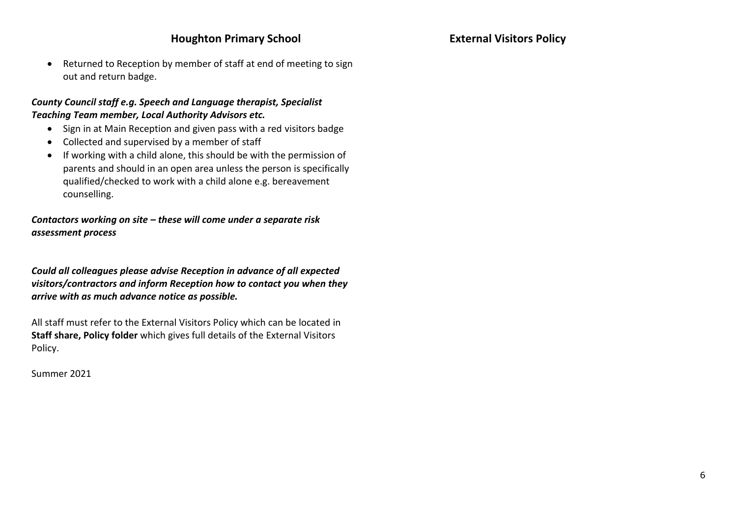Returned to Reception by member of staff at end of meeting to sign out and return badge.

## *County Council staff e.g. Speech and Language therapist, Specialist Teaching Team member, Local Authority Advisors etc.*

- Sign in at Main Reception and given pass with a red visitors badge
- Collected and supervised by a member of staff
- If working with a child alone, this should be with the permission of parents and should in an open area unless the person is specifically qualified/checked to work with a child alone e.g. bereavement counselling.

*Contactors working on site – these will come under a separate risk assessment process*

*Could all colleagues please advise Reception in advance of all expected visitors/contractors and inform Reception how to contact you when they arrive with as much advance notice as possible.*

All staff must refer to the External Visitors Policy which can be located in **Staff share, Policy folder** which gives full details of the External Visitors Policy.

Summer 2021